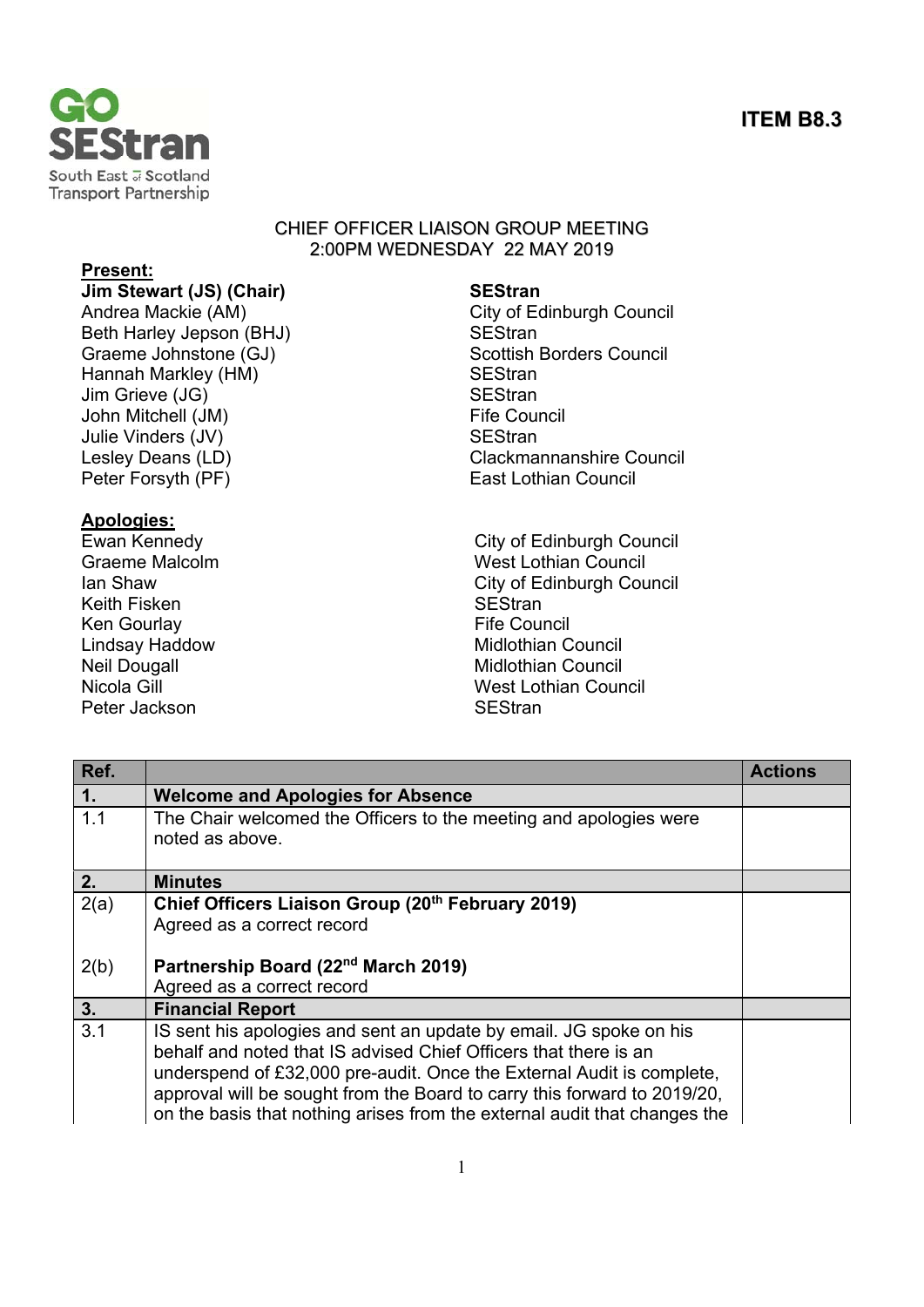# **ITEM B8.3**



### CHIEF OFFICER LIAISON GROUP MEETING 2:00PM WEDNESDAY 22 MAY 2019

# **Present:**

**Jim Stewart (JS) (Chair) SEStran** Andrea Mackie (AM) City of Edinburgh Council Beth Harley Jepson (BHJ) SEStran Graeme Johnstone (GJ) Scottish Borders Council Hannah Markley (HM) SEStran Jim Grieve (JG) SEStran John Mitchell (JM) **Fife Council** Julie Vinders (JV) SEStran Peter Forsyth (PF) East Lothian Council

**Apologies:**  Keith Fisken Ken Gourlay **Fife Council** Peter Jackson SEStran SEStran SESTRAN SESTRAN SESTRAN SESTRAN SESTRAN SESTRAN SESTRAN SESTRAN SESTRAN SESTRAN S

Lesley Deans (LD) Clackmannanshire Council

City of Edinburgh Council Graeme Malcolm **West Lothian Council** Ian Shaw **Ian Shaw City of Edinburgh Council**<br>
Keith Fisken **Council**<br>
SEStran Lindsay Haddow **Midlothian Council** Neil Dougall **Midlothian Council** Nicola Gill Nicola Gill Nicola Gill Nicola Gill Nicola Gill Nicola Gill Nicola Gill Nicola Gill Nicola Gill Nicola Gill Nicola Gill Nicola Gill Nicola Gill Nicola Gill Nicola Gill Nicola Gill Nicola Gill Nicola Gill Nicola

| Ref. |                                                                                                                                                                                                                                                                                                                                                                          | <b>Actions</b> |
|------|--------------------------------------------------------------------------------------------------------------------------------------------------------------------------------------------------------------------------------------------------------------------------------------------------------------------------------------------------------------------------|----------------|
| 1.   | <b>Welcome and Apologies for Absence</b>                                                                                                                                                                                                                                                                                                                                 |                |
| 1.1  | The Chair welcomed the Officers to the meeting and apologies were<br>noted as above.                                                                                                                                                                                                                                                                                     |                |
| 2.   | <b>Minutes</b>                                                                                                                                                                                                                                                                                                                                                           |                |
| 2(a) | Chief Officers Liaison Group (20th February 2019)<br>Agreed as a correct record                                                                                                                                                                                                                                                                                          |                |
| 2(b) | Partnership Board (22 <sup>nd</sup> March 2019)<br>Agreed as a correct record                                                                                                                                                                                                                                                                                            |                |
| 3.   | <b>Financial Report</b>                                                                                                                                                                                                                                                                                                                                                  |                |
| 3.1  | IS sent his apologies and sent an update by email. JG spoke on his<br>behalf and noted that IS advised Chief Officers that there is an<br>underspend of £32,000 pre-audit. Once the External Audit is complete,<br>approval will be sought from the Board to carry this forward to 2019/20,<br>on the basis that nothing arises from the external audit that changes the |                |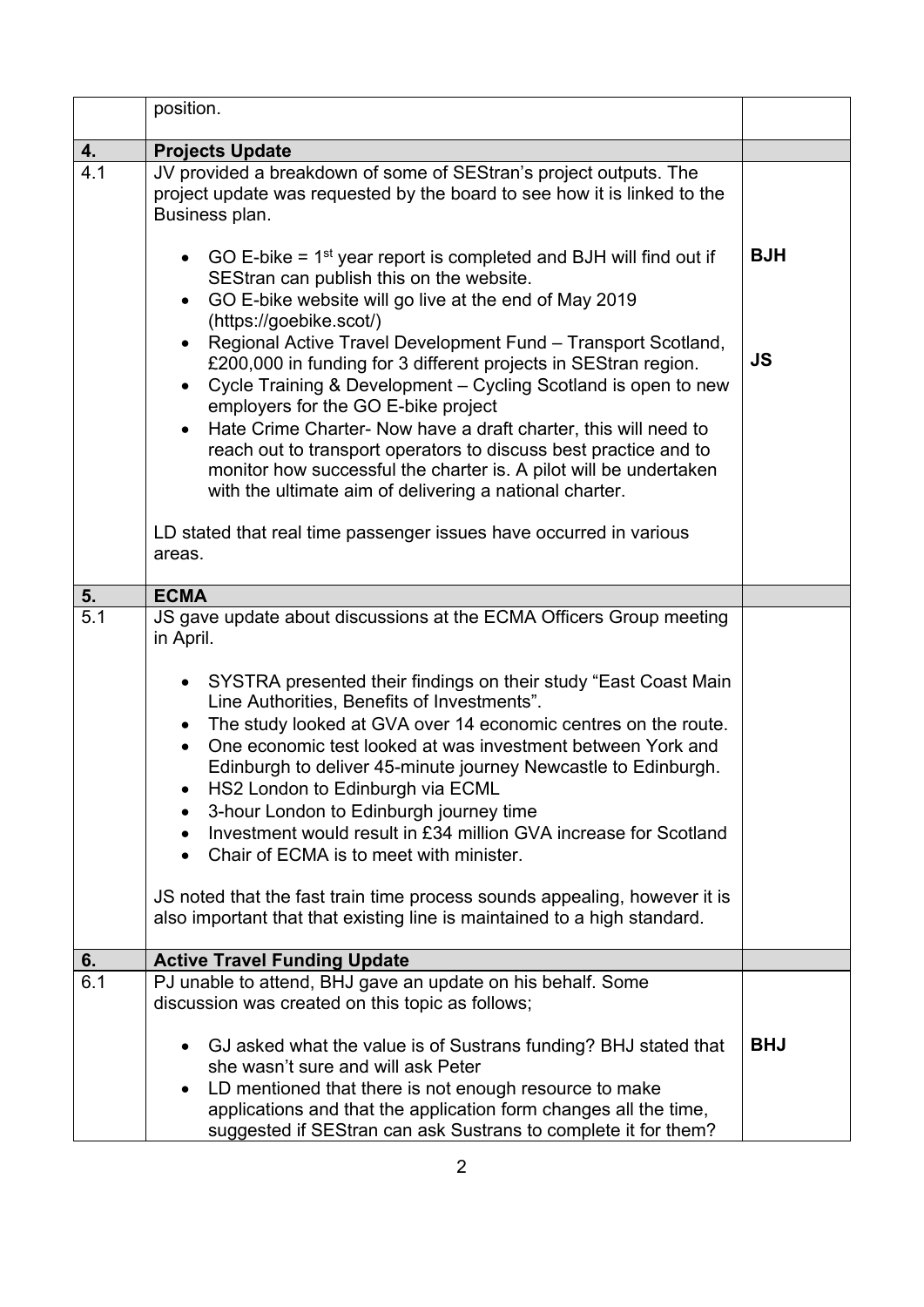|     | position.                                                                                                                                                                                                                                                                                                                                                                                                                                                                                                                                                                                                                                                                                                                                                                 |            |
|-----|---------------------------------------------------------------------------------------------------------------------------------------------------------------------------------------------------------------------------------------------------------------------------------------------------------------------------------------------------------------------------------------------------------------------------------------------------------------------------------------------------------------------------------------------------------------------------------------------------------------------------------------------------------------------------------------------------------------------------------------------------------------------------|------------|
| 4.  | <b>Projects Update</b>                                                                                                                                                                                                                                                                                                                                                                                                                                                                                                                                                                                                                                                                                                                                                    |            |
| 4.1 | JV provided a breakdown of some of SEStran's project outputs. The<br>project update was requested by the board to see how it is linked to the<br>Business plan.                                                                                                                                                                                                                                                                                                                                                                                                                                                                                                                                                                                                           |            |
|     | GO E-bike = $1st$ year report is completed and BJH will find out if<br>SEStran can publish this on the website.<br>GO E-bike website will go live at the end of May 2019<br>$\bullet$<br>(https://goebike.scot/)                                                                                                                                                                                                                                                                                                                                                                                                                                                                                                                                                          | <b>BJH</b> |
|     | Regional Active Travel Development Fund - Transport Scotland,<br>$\bullet$<br>£200,000 in funding for 3 different projects in SEStran region.<br>Cycle Training & Development – Cycling Scotland is open to new<br>employers for the GO E-bike project<br>Hate Crime Charter- Now have a draft charter, this will need to<br>$\bullet$<br>reach out to transport operators to discuss best practice and to<br>monitor how successful the charter is. A pilot will be undertaken<br>with the ultimate aim of delivering a national charter.                                                                                                                                                                                                                                | <b>JS</b>  |
|     | LD stated that real time passenger issues have occurred in various<br>areas.                                                                                                                                                                                                                                                                                                                                                                                                                                                                                                                                                                                                                                                                                              |            |
| 5.  | <b>ECMA</b>                                                                                                                                                                                                                                                                                                                                                                                                                                                                                                                                                                                                                                                                                                                                                               |            |
| 5.1 | JS gave update about discussions at the ECMA Officers Group meeting<br>in April.<br>SYSTRA presented their findings on their study "East Coast Main<br>$\bullet$<br>Line Authorities, Benefits of Investments".<br>The study looked at GVA over 14 economic centres on the route.<br>One economic test looked at was investment between York and<br>Edinburgh to deliver 45-minute journey Newcastle to Edinburgh.<br>HS2 London to Edinburgh via ECML<br>3-hour London to Edinburgh journey time<br>Investment would result in £34 million GVA increase for Scotland<br>Chair of ECMA is to meet with minister.<br>JS noted that the fast train time process sounds appealing, however it is<br>also important that that existing line is maintained to a high standard. |            |
| 6.  | <b>Active Travel Funding Update</b>                                                                                                                                                                                                                                                                                                                                                                                                                                                                                                                                                                                                                                                                                                                                       |            |
| 6.1 | PJ unable to attend, BHJ gave an update on his behalf. Some<br>discussion was created on this topic as follows;<br>GJ asked what the value is of Sustrans funding? BHJ stated that<br>she wasn't sure and will ask Peter<br>LD mentioned that there is not enough resource to make                                                                                                                                                                                                                                                                                                                                                                                                                                                                                        | <b>BHJ</b> |
|     | applications and that the application form changes all the time,<br>suggested if SEStran can ask Sustrans to complete it for them?                                                                                                                                                                                                                                                                                                                                                                                                                                                                                                                                                                                                                                        |            |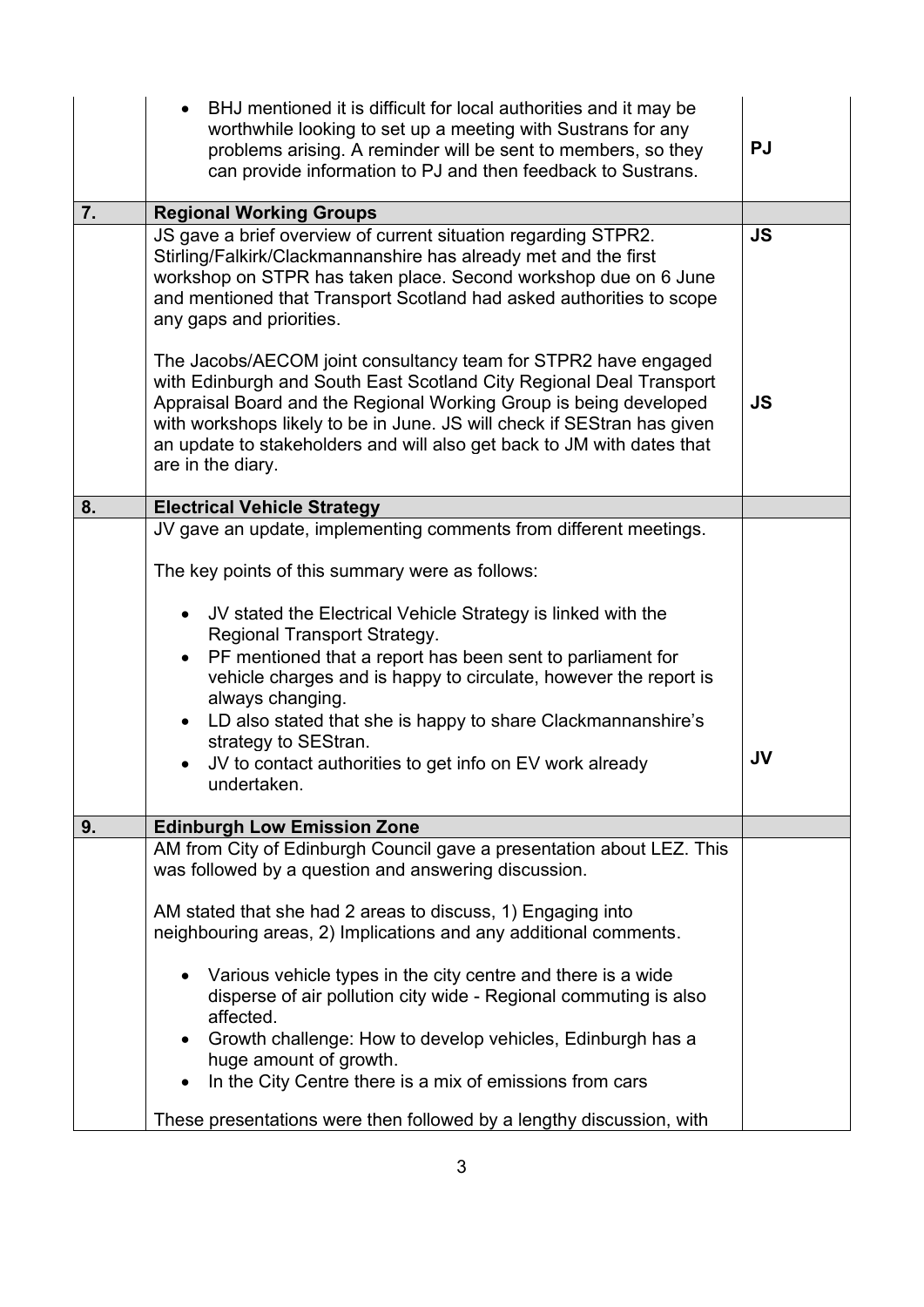| BHJ mentioned it is difficult for local authorities and it may be<br>worthwhile looking to set up a meeting with Sustrans for any<br>problems arising. A reminder will be sent to members, so they<br>can provide information to PJ and then feedback to Sustrans.                                                                                                                                                                                                       | <b>PJ</b>                                                                                                                                                                                                    |
|--------------------------------------------------------------------------------------------------------------------------------------------------------------------------------------------------------------------------------------------------------------------------------------------------------------------------------------------------------------------------------------------------------------------------------------------------------------------------|--------------------------------------------------------------------------------------------------------------------------------------------------------------------------------------------------------------|
| <b>Regional Working Groups</b>                                                                                                                                                                                                                                                                                                                                                                                                                                           |                                                                                                                                                                                                              |
| Stirling/Falkirk/Clackmannanshire has already met and the first<br>workshop on STPR has taken place. Second workshop due on 6 June<br>and mentioned that Transport Scotland had asked authorities to scope<br>any gaps and priorities.                                                                                                                                                                                                                                   | <b>JS</b>                                                                                                                                                                                                    |
| The Jacobs/AECOM joint consultancy team for STPR2 have engaged<br>with Edinburgh and South East Scotland City Regional Deal Transport<br>Appraisal Board and the Regional Working Group is being developed<br>with workshops likely to be in June. JS will check if SEStran has given<br>an update to stakeholders and will also get back to JM with dates that<br>are in the diary.                                                                                     | <b>JS</b>                                                                                                                                                                                                    |
| <b>Electrical Vehicle Strategy</b>                                                                                                                                                                                                                                                                                                                                                                                                                                       |                                                                                                                                                                                                              |
| The key points of this summary were as follows:<br>JV stated the Electrical Vehicle Strategy is linked with the<br>Regional Transport Strategy.<br>PF mentioned that a report has been sent to parliament for<br>vehicle charges and is happy to circulate, however the report is<br>always changing.<br>LD also stated that she is happy to share Clackmannanshire's<br>strategy to SEStran.<br>JV to contact authorities to get info on EV work already<br>undertaken. | <b>JV</b>                                                                                                                                                                                                    |
| <b>Edinburgh Low Emission Zone</b>                                                                                                                                                                                                                                                                                                                                                                                                                                       |                                                                                                                                                                                                              |
| was followed by a question and answering discussion.<br>AM stated that she had 2 areas to discuss, 1) Engaging into<br>neighbouring areas, 2) Implications and any additional comments.<br>Various vehicle types in the city centre and there is a wide<br>disperse of air pollution city wide - Regional commuting is also<br>affected.<br>Growth challenge: How to develop vehicles, Edinburgh has a<br>huge amount of growth.                                         |                                                                                                                                                                                                              |
|                                                                                                                                                                                                                                                                                                                                                                                                                                                                          | JS gave a brief overview of current situation regarding STPR2.<br>JV gave an update, implementing comments from different meetings.<br>AM from City of Edinburgh Council gave a presentation about LEZ. This |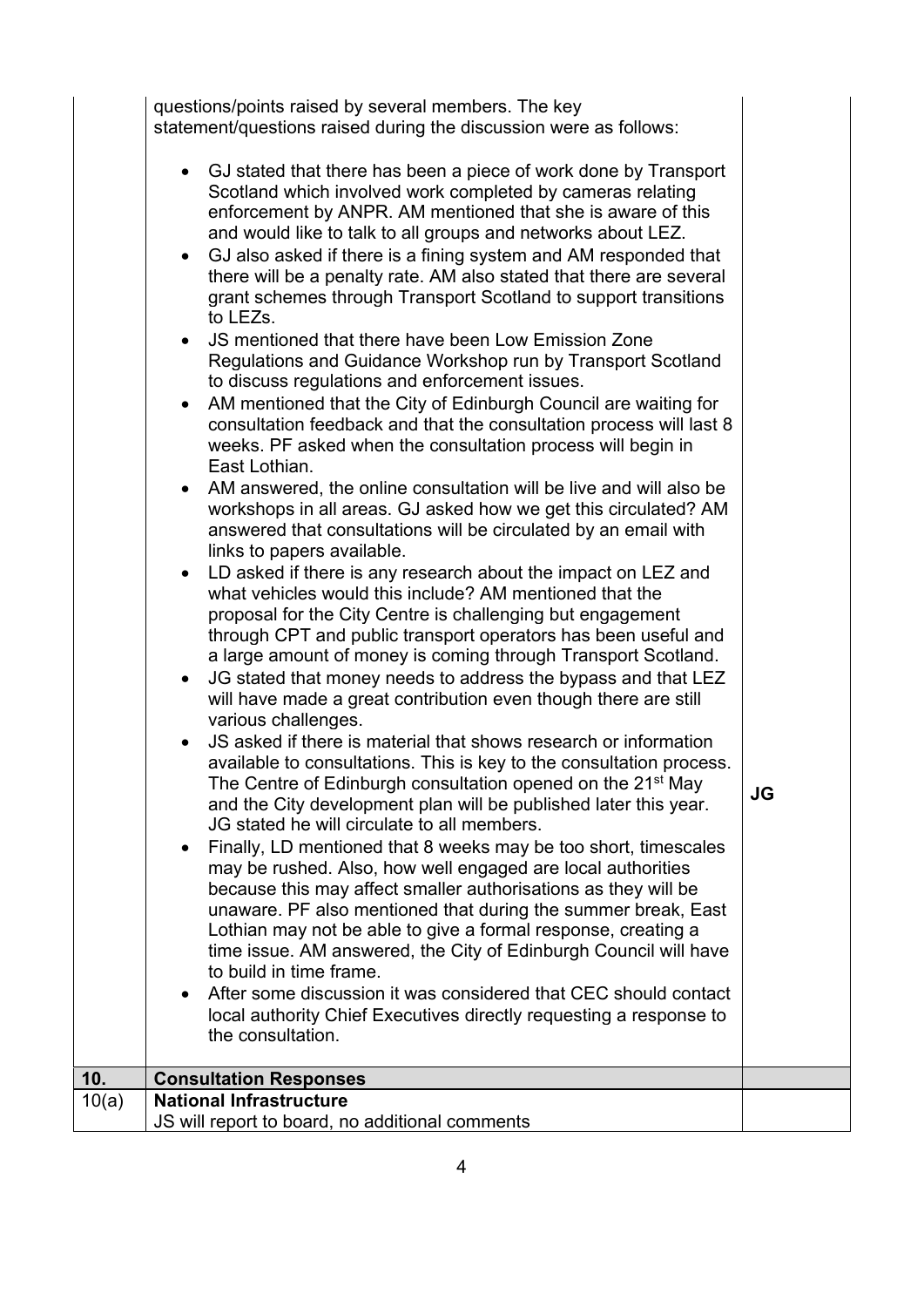questions/points raised by several members. The key statement/questions raised during the discussion were as follows:

| • GJ stated that there has been a piece of work done by Transport<br>Scotland which involved work completed by cameras relating<br>enforcement by ANPR. AM mentioned that she is aware of this<br>and would like to talk to all groups and networks about LEZ.<br>GJ also asked if there is a fining system and AM responded that<br>$\bullet$<br>there will be a penalty rate. AM also stated that there are several<br>grant schemes through Transport Scotland to support transitions<br>to LEZs.<br>JS mentioned that there have been Low Emission Zone<br>$\bullet$<br>Regulations and Guidance Workshop run by Transport Scotland<br>to discuss regulations and enforcement issues.<br>AM mentioned that the City of Edinburgh Council are waiting for<br>$\bullet$<br>consultation feedback and that the consultation process will last 8<br>weeks. PF asked when the consultation process will begin in<br>East Lothian.<br>AM answered, the online consultation will be live and will also be<br>$\bullet$<br>workshops in all areas. GJ asked how we get this circulated? AM<br>answered that consultations will be circulated by an email with<br>links to papers available.<br>LD asked if there is any research about the impact on LEZ and<br>$\bullet$<br>what vehicles would this include? AM mentioned that the<br>proposal for the City Centre is challenging but engagement<br>through CPT and public transport operators has been useful and<br>a large amount of money is coming through Transport Scotland.<br>JG stated that money needs to address the bypass and that LEZ<br>$\bullet$<br>will have made a great contribution even though there are still<br>various challenges.<br>JS asked if there is material that shows research or information<br>$\bullet$<br>available to consultations. This is key to the consultation process.<br>The Centre of Edinburgh consultation opened on the 21 <sup>st</sup> May<br>and the City development plan will be published later this year.<br>JG stated he will circulate to all members.<br>Finally, LD mentioned that 8 weeks may be too short, timescales<br>may be rushed. Also, how well engaged are local authorities<br>because this may affect smaller authorisations as they will be<br>unaware. PF also mentioned that during the summer break, East<br>Lothian may not be able to give a formal response, creating a<br>time issue. AM answered, the City of Edinburgh Council will have<br>to build in time frame.<br>After some discussion it was considered that CEC should contact<br>$\bullet$<br>local authority Chief Executives directly requesting a response to<br>the consultation.<br><b>Consultation Responses</b> | <b>JG</b> |
|-------------------------------------------------------------------------------------------------------------------------------------------------------------------------------------------------------------------------------------------------------------------------------------------------------------------------------------------------------------------------------------------------------------------------------------------------------------------------------------------------------------------------------------------------------------------------------------------------------------------------------------------------------------------------------------------------------------------------------------------------------------------------------------------------------------------------------------------------------------------------------------------------------------------------------------------------------------------------------------------------------------------------------------------------------------------------------------------------------------------------------------------------------------------------------------------------------------------------------------------------------------------------------------------------------------------------------------------------------------------------------------------------------------------------------------------------------------------------------------------------------------------------------------------------------------------------------------------------------------------------------------------------------------------------------------------------------------------------------------------------------------------------------------------------------------------------------------------------------------------------------------------------------------------------------------------------------------------------------------------------------------------------------------------------------------------------------------------------------------------------------------------------------------------------------------------------------------------------------------------------------------------------------------------------------------------------------------------------------------------------------------------------------------------------------------------------------------------------------------------------------------------------------------------------------------------------------------------------------------------------------------------------------------------------------------------------------------------|-----------|
| <b>National Infrastructure</b>                                                                                                                                                                                                                                                                                                                                                                                                                                                                                                                                                                                                                                                                                                                                                                                                                                                                                                                                                                                                                                                                                                                                                                                                                                                                                                                                                                                                                                                                                                                                                                                                                                                                                                                                                                                                                                                                                                                                                                                                                                                                                                                                                                                                                                                                                                                                                                                                                                                                                                                                                                                                                                                                                    |           |
| JS will report to board, no additional comments                                                                                                                                                                                                                                                                                                                                                                                                                                                                                                                                                                                                                                                                                                                                                                                                                                                                                                                                                                                                                                                                                                                                                                                                                                                                                                                                                                                                                                                                                                                                                                                                                                                                                                                                                                                                                                                                                                                                                                                                                                                                                                                                                                                                                                                                                                                                                                                                                                                                                                                                                                                                                                                                   |           |

 $10.$  $\overline{10(a)}$